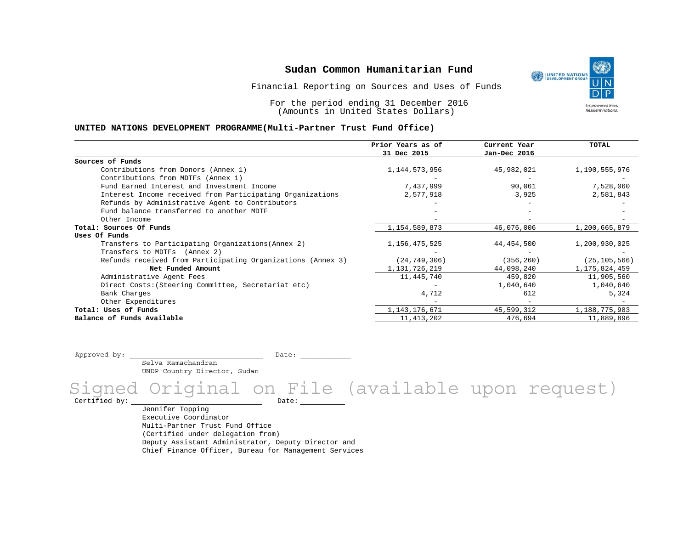Financial Reporting on Sources and Uses of Funds

For the period ending 31 December 2016 (Amounts in United States Dollars)

#### **UNITED NATIONS DEVELOPMENT PROGRAMME(Multi-Partner Trust Fund Office)**

| 31 Dec 2015<br>Jan-Dec 2016<br>Sources of Funds<br>Contributions from Donors (Annex 1)<br>1, 144, 573, 956<br>45,982,021<br>1,190,555,976<br>Contributions from MDTFs (Annex 1)<br>7,437,999<br>Fund Earned Interest and Investment Income<br>90,061<br>7,528,060<br>Interest Income received from Participating Organizations<br>2,577,918<br>2,581,843<br>3,925<br>Refunds by Administrative Agent to Contributors<br>Fund balance transferred to another MDTF<br>Other Income<br>1,154,589,873<br>46,076,006<br>Total: Sources Of Funds<br>1,200,665,879<br>Uses Of Funds |
|------------------------------------------------------------------------------------------------------------------------------------------------------------------------------------------------------------------------------------------------------------------------------------------------------------------------------------------------------------------------------------------------------------------------------------------------------------------------------------------------------------------------------------------------------------------------------|
|                                                                                                                                                                                                                                                                                                                                                                                                                                                                                                                                                                              |
|                                                                                                                                                                                                                                                                                                                                                                                                                                                                                                                                                                              |
|                                                                                                                                                                                                                                                                                                                                                                                                                                                                                                                                                                              |
|                                                                                                                                                                                                                                                                                                                                                                                                                                                                                                                                                                              |
|                                                                                                                                                                                                                                                                                                                                                                                                                                                                                                                                                                              |
|                                                                                                                                                                                                                                                                                                                                                                                                                                                                                                                                                                              |
|                                                                                                                                                                                                                                                                                                                                                                                                                                                                                                                                                                              |
|                                                                                                                                                                                                                                                                                                                                                                                                                                                                                                                                                                              |
|                                                                                                                                                                                                                                                                                                                                                                                                                                                                                                                                                                              |
|                                                                                                                                                                                                                                                                                                                                                                                                                                                                                                                                                                              |
|                                                                                                                                                                                                                                                                                                                                                                                                                                                                                                                                                                              |
| 44,454,500<br>Transfers to Participating Organizations (Annex 2)<br>1,156,475,525<br>1,200,930,025                                                                                                                                                                                                                                                                                                                                                                                                                                                                           |
| Transfers to MDTFs (Annex 2)                                                                                                                                                                                                                                                                                                                                                                                                                                                                                                                                                 |
| (24, 749, 306)<br>Refunds received from Participating Organizations (Annex 3)<br>(356, 260)<br>(25, 105, 566)                                                                                                                                                                                                                                                                                                                                                                                                                                                                |
| Net Funded Amount<br>1, 131, 726, 219<br>44,098,240<br>1, 175, 824, 459                                                                                                                                                                                                                                                                                                                                                                                                                                                                                                      |
| 11,445,740<br>459,820<br>11,905,560<br>Administrative Agent Fees                                                                                                                                                                                                                                                                                                                                                                                                                                                                                                             |
| 1,040,640<br>1,040,640<br>Direct Costs: (Steering Committee, Secretariat etc)                                                                                                                                                                                                                                                                                                                                                                                                                                                                                                |
| Bank Charges<br>612<br>5,324<br>4,712                                                                                                                                                                                                                                                                                                                                                                                                                                                                                                                                        |
| Other Expenditures                                                                                                                                                                                                                                                                                                                                                                                                                                                                                                                                                           |
| 1, 143, 176, 671<br>1,188,775,983<br>Total: Uses of Funds<br>45,599,312                                                                                                                                                                                                                                                                                                                                                                                                                                                                                                      |
| Balance of Funds Available<br>11, 413, 202<br>11,889,896<br>476,694                                                                                                                                                                                                                                                                                                                                                                                                                                                                                                          |

Approved by: \_\_\_\_\_\_\_\_\_\_\_\_\_\_\_\_\_\_\_\_\_\_\_\_\_\_\_\_\_\_\_\_ Date: \_\_\_\_\_\_\_\_\_\_\_\_

 Selva Ramachandran UNDP Country Director, Sudan

Signed Original on File (available upon request)

Certified by: Date:

Jennifer Topping Executive Coordinator Multi-Partner Trust Fund Office (Certified under delegation from) Deputy Assistant Administrator, Deputy Director and Chief Finance Officer, Bureau for Management Services

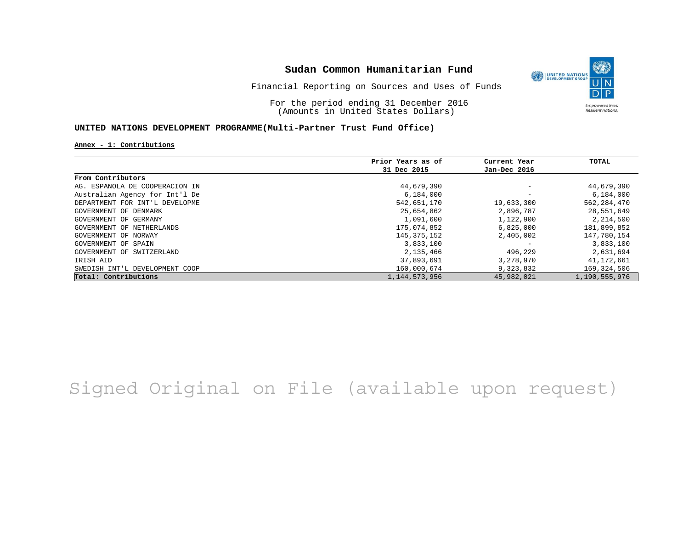

Financial Reporting on Sources and Uses of Funds

For the period ending 31 December 2016 (Amounts in United States Dollars)

### **UNITED NATIONS DEVELOPMENT PROGRAMME(Multi-Partner Trust Fund Office)**

#### **Annex - 1: Contributions**

|                                | Prior Years as of | Current Year             | TOTAL         |
|--------------------------------|-------------------|--------------------------|---------------|
|                                | 31 Dec 2015       | Jan-Dec 2016             |               |
| From Contributors              |                   |                          |               |
| AG. ESPANOLA DE COOPERACION IN | 44,679,390        | $\overline{\phantom{m}}$ | 44,679,390    |
| Australian Agency for Int'l De | 6,184,000         |                          | 6,184,000     |
| DEPARTMENT FOR INT'L DEVELOPME | 542,651,170       | 19,633,300               | 562, 284, 470 |
| GOVERNMENT OF DENMARK          | 25,654,862        | 2,896,787                | 28,551,649    |
| GOVERNMENT OF GERMANY          | 1,091,600         | 1,122,900                | 2,214,500     |
| GOVERNMENT OF NETHERLANDS      | 175,074,852       | 6,825,000                | 181,899,852   |
| GOVERNMENT OF NORWAY           | 145,375,152       | 2,405,002                | 147,780,154   |
| GOVERNMENT OF SPAIN            | 3,833,100         |                          | 3,833,100     |
| GOVERNMENT OF SWITZERLAND      | 2,135,466         | 496,229                  | 2,631,694     |
| IRISH AID                      | 37,893,691        | 3,278,970                | 41,172,661    |
| SWEDISH INT'L DEVELOPMENT COOP | 160,000,674       | 9,323,832                | 169,324,506   |
| Total: Contributions           | 1, 144, 573, 956  | 45,982,021               | 1,190,555,976 |

# Signed Original on File (available upon request)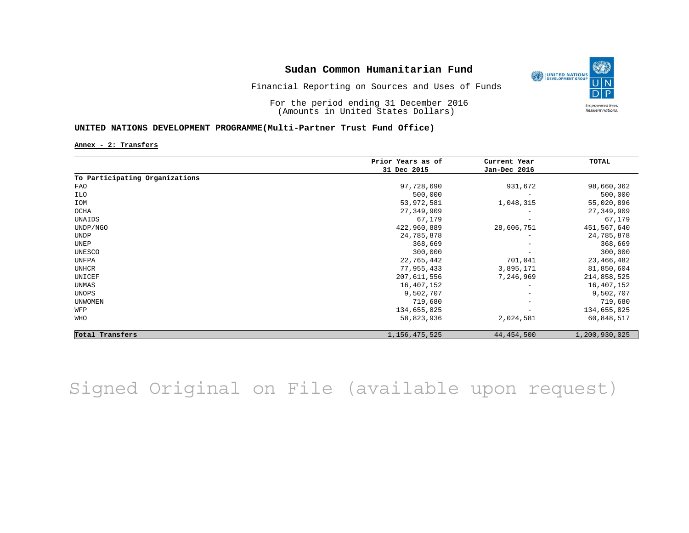

Financial Reporting on Sources and Uses of Funds

For the period ending 31 December 2016 (Amounts in United States Dollars)

### **UNITED NATIONS DEVELOPMENT PROGRAMME(Multi-Partner Trust Fund Office)**

**Annex - 2: Transfers**

|                                | Prior Years as of | Current Year             | TOTAL         |
|--------------------------------|-------------------|--------------------------|---------------|
|                                | 31 Dec 2015       | Jan-Dec 2016             |               |
| To Participating Organizations |                   |                          |               |
| FAO                            | 97,728,690        | 931,672                  | 98,660,362    |
| ILO                            | 500,000           | $\overline{\phantom{a}}$ | 500,000       |
| IOM                            | 53,972,581        | 1,048,315                | 55,020,896    |
| OCHA                           | 27,349,909        |                          | 27, 349, 909  |
| UNAIDS                         | 67,179            | $\overline{\phantom{m}}$ | 67,179        |
| UNDP/NGO                       | 422,960,889       | 28,606,751               | 451,567,640   |
| UNDP                           | 24,785,878        |                          | 24,785,878    |
| UNEP                           | 368,669           | $\qquad \qquad -$        | 368,669       |
| UNESCO                         | 300,000           |                          | 300,000       |
| UNFPA                          | 22,765,442        | 701,041                  | 23,466,482    |
| UNHCR                          | 77,955,433        | 3,895,171                | 81,850,604    |
| UNICEF                         | 207,611,556       | 7,246,969                | 214,858,525   |
| UNMAS                          | 16,407,152        |                          | 16,407,152    |
| UNOPS                          | 9,502,707         | $\overline{\phantom{m}}$ | 9,502,707     |
| <b>UNWOMEN</b>                 | 719,680           | $\overline{\phantom{a}}$ | 719,680       |
| WFP                            | 134,655,825       |                          | 134,655,825   |
| WHO                            | 58,823,936        | 2,024,581                | 60,848,517    |
| Total Transfers                | 1, 156, 475, 525  | 44, 454, 500             | 1,200,930,025 |

Signed Original on File (available upon request)